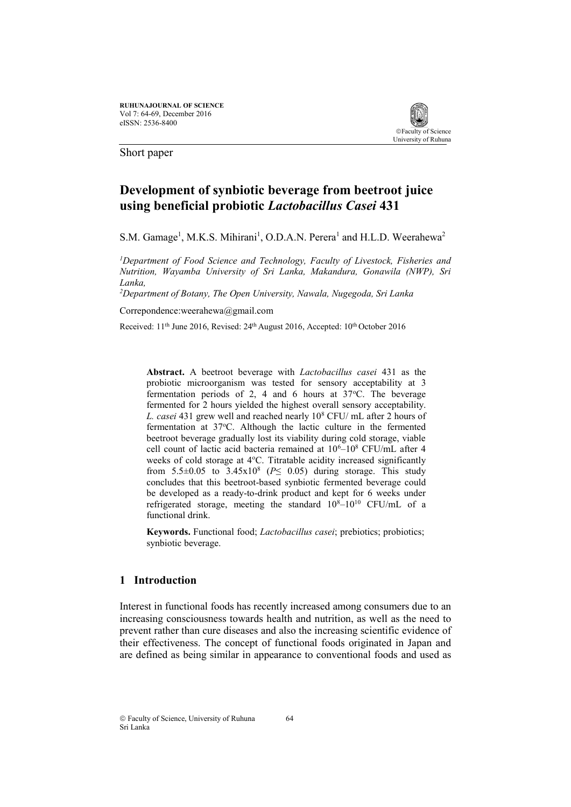

Short paper

# **Development of synbiotic beverage from beetroot juice using beneficial probiotic** *Lactobacillus Casei* **431**

S.M. Gamage<sup>1</sup>, M.K.S. Mihirani<sup>1</sup>, O.D.A.N. Perera<sup>1</sup> and H.L.D. Weerahewa<sup>2</sup>

*<sup>1</sup>Department of Food Science and Technology, Faculty of Livestock, Fisheries and Nutrition, Wayamba University of Sri Lanka, Makandura, Gonawila (NWP), Sri Lanka,* 

*<sup>2</sup>Department of Botany, The Open University, Nawala, Nugegoda, Sri Lanka*

Correpondence:weerahewa@gmail.com

Received: 11<sup>th</sup> June 2016, Revised: 24<sup>th</sup> August 2016, Accepted: 10<sup>th</sup> October 2016

**Abstract.** A beetroot beverage with *Lactobacillus casei* 431 as the probiotic microorganism was tested for sensory acceptability at 3 fermentation periods of 2, 4 and 6 hours at  $37^{\circ}$ C. The beverage fermented for 2 hours yielded the highest overall sensory acceptability. *L. casei* 431 grew well and reached nearly 10<sup>8</sup> CFU/ mL after 2 hours of fermentation at 37°C. Although the lactic culture in the fermented beetroot beverage gradually lost its viability during cold storage, viable cell count of lactic acid bacteria remained at  $10^6$ – $10^8$  CFU/mL after 4 weeks of cold storage at 4°C. Titratable acidity increased significantly from  $5.5\pm0.05$  to  $3.45x10^8$  ( $P \le 0.05$ ) during storage. This study concludes that this beetroot-based synbiotic fermented beverage could be developed as a ready-to-drink product and kept for 6 weeks under refrigerated storage, meeting the standard  $10^{8}-10^{10}$  CFU/mL of a functional drink.

**Keywords.** Functional food; *Lactobacillus casei*; prebiotics; probiotics; synbiotic beverage.

### **1 Introduction**

Interest in functional foods has recently increased among consumers due to an increasing consciousness towards health and nutrition, as well as the need to prevent rather than cure diseases and also the increasing scientific evidence of their effectiveness. The concept of functional foods originated in Japan and are defined as being similar in appearance to conventional foods and used as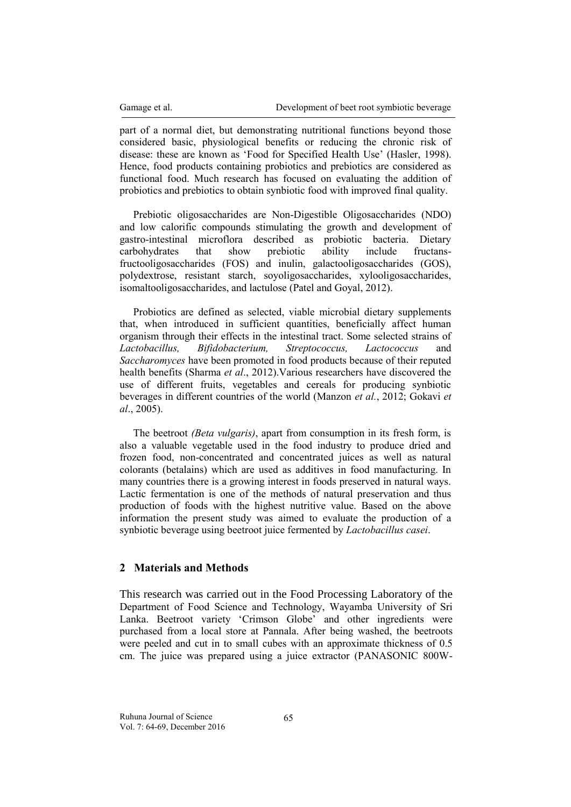part of a normal diet, but demonstrating nutritional functions beyond those considered basic, physiological benefits or reducing the chronic risk of disease: these are known as 'Food for Specified Health Use' (Hasler, 1998). Hence, food products containing probiotics and prebiotics are considered as functional food. Much research has focused on evaluating the addition of probiotics and prebiotics to obtain synbiotic food with improved final quality.

Prebiotic oligosaccharides are Non-Digestible Oligosaccharides (NDO) and low calorific compounds stimulating the growth and development of gastro-intestinal microflora described as probiotic bacteria. Dietary carbohydrates that show prebiotic ability include fructansfructooligosaccharides (FOS) and inulin, galactooligosaccharides (GOS), polydextrose, resistant starch, soyoligosaccharides, xylooligosaccharides, isomaltooligosaccharides, and lactulose (Patel and Goyal, 2012).

Probiotics are defined as selected, viable microbial dietary supplements that, when introduced in sufficient quantities, beneficially affect human organism through their effects in the intestinal tract. Some selected strains of *Lactobacillus, Bifidobacterium, Streptococcus, Lactococcus* and *Saccharomyces* have been promoted in food products because of their reputed health benefits (Sharma *et al*., 2012).Various researchers have discovered the use of different fruits, vegetables and cereals for producing synbiotic beverages in different countries of the world (Manzon *et al.*, 2012; Gokavi *et al*., 2005).

The beetroot *[\(Beta vulgaris\)](https://en.wikipedia.org/wiki/Beta_vulgaris)*, apart from consumption in its fresh form, is also a valuable vegetable used in the food industry to produce dried and frozen food, non-concentrated and concentrated juices as well as natural colorants (betalains) which are used as additives in food manufacturing. In many countries there is a growing interest in foods preserved in natural ways. Lactic fermentation is one of the methods of natural preservation and thus production of foods with the highest nutritive value. Based on the above information the present study was aimed to evaluate the production of a synbiotic beverage using beetroot juice fermented by *Lactobacillus casei*.

### **2 Materials and Methods**

This research was carried out in the Food Processing Laboratory of the Department of Food Science and Technology, Wayamba University of Sri Lanka. Beetroot variety 'Crimson Globe' and other ingredients were purchased from a local store at Pannala. After being washed, the beetroots were peeled and cut in to small cubes with an approximate thickness of 0.5 cm. The juice was prepared using a juice extractor (PANASONIC 800W-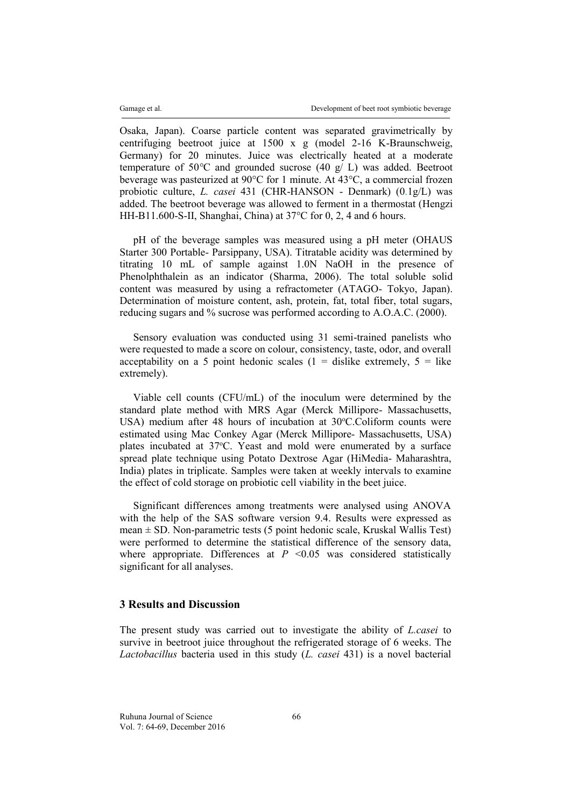Osaka, Japan). Coarse particle content was separated gravimetrically by centrifuging beetroot juice at 1500 x g (model 2-16 K-Braunschweig, Germany) for 20 minutes. Juice was electrically heated at a moderate temperature of 50*°*C and grounded sucrose (40 g/ L) was added. Beetroot beverage was pasteurized at 90°C for 1 minute. At 43°C, a commercial frozen probiotic culture, *L. casei* 431 (CHR-HANSON - Denmark) (0.1g/L) was added. The beetroot beverage was allowed to ferment in a thermostat (Hengzi HH-B11.600-S-II, Shanghai, China) at 37°C for 0, 2, 4 and 6 hours.

pH of the beverage samples was measured using a pH meter (OHAUS Starter 300 Portable- Parsippany, USA). Titratable acidity was determined by titrating 10 mL of sample against 1.0N NaOH in the presence of Phenolphthalein as an indicator (Sharma, 2006). The total soluble solid content was measured by using a refractometer (ATAGO- Tokyo, Japan). Determination of moisture content, ash, protein, fat, total fiber, total sugars, reducing sugars and % sucrose was performed according to A.O.A.C. (2000).

Sensory evaluation was conducted using 31 semi-trained panelists who were requested to made a score on colour, consistency, taste, odor, and overall acceptability on a 5 point hedonic scales  $(1 - \text{display} \text{ either } \text{extremely}, 5 - \text{like})$ extremely).

Viable cell counts (CFU/mL) of the inoculum were determined by the standard plate method with MRS Agar (Merck Millipore- Massachusetts, USA) medium after 48 hours of incubation at  $30^{\circ}$ C.Coliform counts were estimated using Mac Conkey Agar (Merck Millipore- Massachusetts, USA) plates incubated at 37°C. Yeast and mold were enumerated by a surface spread plate technique using Potato Dextrose Agar (HiMedia- Maharashtra, India) plates in triplicate. Samples were taken at weekly intervals to examine the effect of cold storage on probiotic cell viability in the beet juice.

Significant differences among treatments were analysed using ANOVA with the help of the SAS software version 9.4. Results were expressed as mean  $\pm$  SD. Non-parametric tests (5 point hedonic scale, Kruskal Wallis Test) were performed to determine the statistical difference of the sensory data, where appropriate. Differences at  $P \leq 0.05$  was considered statistically significant for all analyses.

## **3 Results and Discussion**

The present study was carried out to investigate the ability of *L.casei* to survive in beetroot juice throughout the refrigerated storage of 6 weeks. The *Lactobacillus* bacteria used in this study (*L. casei* 431) is a novel bacterial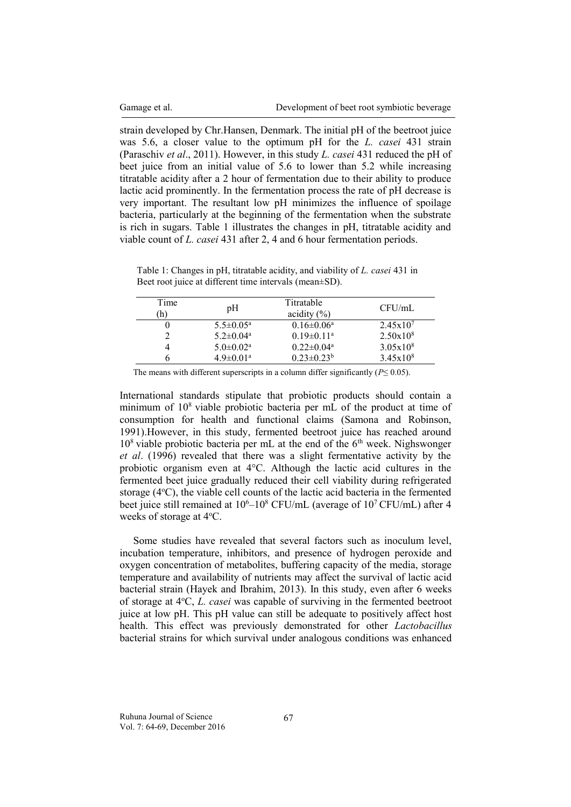strain developed by Chr.Hansen, Denmark. The initial pH of the beetroot juice was 5.6, a closer value to the optimum pH for the *L. casei* 431 strain (Paraschiv *et al*., 2011). However, in this study *L. casei* 431 reduced the pH of beet juice from an initial value of 5.6 to lower than 5.2 while increasing titratable acidity after a 2 hour of fermentation due to their ability to produce lactic acid prominently. In the fermentation process the rate of pH decrease is very important. The resultant low pH minimizes the influence of spoilage bacteria, particularly at the beginning of the fermentation when the substrate is rich in sugars. Table 1 illustrates the changes in pH, titratable acidity and viable count of *L. casei* 431 after 2, 4 and 6 hour fermentation periods.

Table 1: Changes in pH, titratable acidity, and viability of *L. casei* 431 in Beet root juice at different time intervals (mean±SD).

| Time<br>h) | pH                          | Titratable<br>acidity $(\% )$ | CFU/mL        |
|------------|-----------------------------|-------------------------------|---------------|
|            | $5.5 \pm 0.05^{\text{a}}$   | $0.16 \pm 0.06^{\text{a}}$    | $2.45x10^{7}$ |
|            | $5.2 \pm 0.04^{\text{a}}$   | $0.19 \pm 0.11$ <sup>a</sup>  | $2.50x10^{8}$ |
|            | $5.0 \pm 0.02^a$            | $0.22 \pm 0.04^{\text{a}}$    | $3.05x10^{8}$ |
|            | $4.9 \pm 0.01$ <sup>a</sup> | $0.23 \pm 0.23^b$             | $3.45x10^{8}$ |

The means with different superscripts in a column differ significantly ( $P \leq 0.05$ ).

International standards stipulate that probiotic products should contain a minimum of  $10^8$  viable probiotic bacteria per mL of the product at time of consumption for health and functional claims (Samona and Robinson, 1991).However, in this study, fermented beetroot juice has reached around  $10^8$  viable probiotic bacteria per mL at the end of the  $6<sup>th</sup>$  week. Nighswonger *et al*. (1996) revealed that there was a slight fermentative activity by the probiotic organism even at 4°C. Although the lactic acid cultures in the fermented beet juice gradually reduced their cell viability during refrigerated storage (4°C), the viable cell counts of the lactic acid bacteria in the fermented beet juice still remained at  $10^6$ – $10^8$  CFU/mL (average of  $10^7$  CFU/mL) after 4 weeks of storage at 4°C.

Some studies have revealed that several factors such as inoculum level, incubation temperature, inhibitors, and presence of hydrogen peroxide and oxygen concentration of metabolites, buffering capacity of the media, storage temperature and availability of nutrients may affect the survival of lactic acid bacterial strain (Hayek and Ibrahim, 2013). In this study, even after 6 weeks of storage at 4°C, *L. casei* was capable of surviving in the fermented beetroot juice at low pH. This pH value can still be adequate to positively affect host health. This effect was previously demonstrated for other *Lactobacillus* bacterial strains for which survival under analogous conditions was enhanced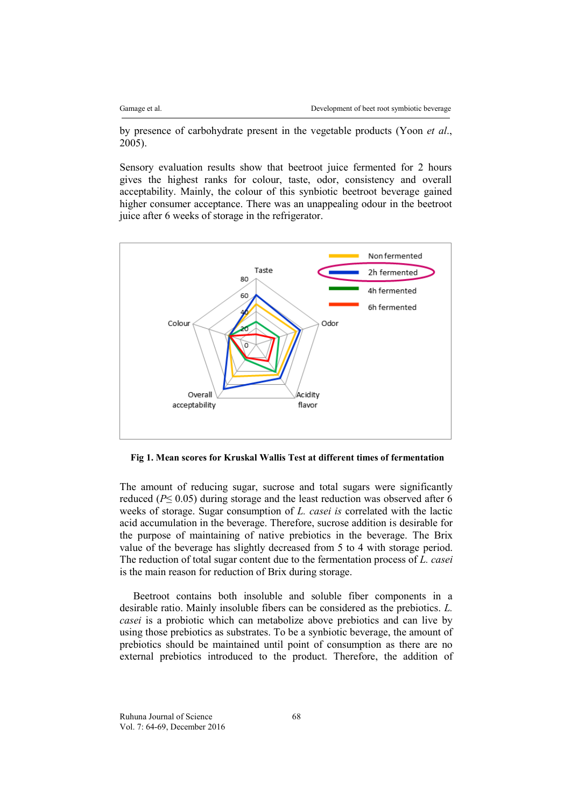by presence of carbohydrate present in the vegetable products (Yoon *et al*., 2005).

Sensory evaluation results show that beetroot juice fermented for 2 hours gives the highest ranks for colour, taste, odor, consistency and overall acceptability. Mainly, the colour of this synbiotic beetroot beverage gained higher consumer acceptance. There was an unappealing odour in the beetroot juice after 6 weeks of storage in the refrigerator.



**Fig 1. Mean scores for Kruskal Wallis Test at different times of fermentation**

The amount of reducing sugar, sucrose and total sugars were significantly reduced ( $P \leq 0.05$ ) during storage and the least reduction was observed after 6 weeks of storage. Sugar consumption of *L. casei is* correlated with the lactic acid accumulation in the beverage. Therefore, sucrose addition is desirable for the purpose of maintaining of native prebiotics in the beverage. The Brix value of the beverage has slightly decreased from 5 to 4 with storage period. The reduction of total sugar content due to the fermentation process of *L. casei*  is the main reason for reduction of Brix during storage.

Beetroot contains both insoluble and soluble fiber components in a desirable ratio. Mainly insoluble fibers can be considered as the prebiotics. *L. casei* is a probiotic which can metabolize above prebiotics and can live by using those prebiotics as substrates. To be a synbiotic beverage, the amount of prebiotics should be maintained until point of consumption as there are no external prebiotics introduced to the product. Therefore, the addition of